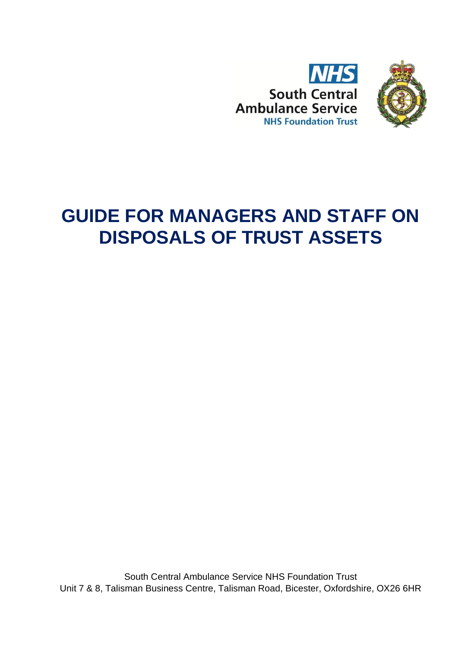

# **GUIDE FOR MANAGERS AND STAFF ON DISPOSALS OF TRUST ASSETS**

South Central Ambulance Service NHS Foundation Trust Unit 7 & 8, Talisman Business Centre, Talisman Road, Bicester, Oxfordshire, OX26 6HR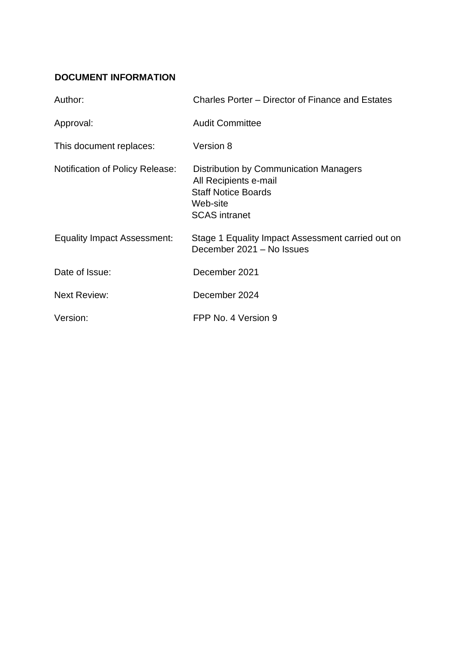## <span id="page-1-0"></span>**DOCUMENT INFORMATION**

| Author:                                | Charles Porter - Director of Finance and Estates                                                                                  |
|----------------------------------------|-----------------------------------------------------------------------------------------------------------------------------------|
| Approval:                              | <b>Audit Committee</b>                                                                                                            |
| This document replaces:                | Version 8                                                                                                                         |
| <b>Notification of Policy Release:</b> | Distribution by Communication Managers<br>All Recipients e-mail<br><b>Staff Notice Boards</b><br>Web-site<br><b>SCAS</b> intranet |
| <b>Equality Impact Assessment:</b>     | Stage 1 Equality Impact Assessment carried out on<br>December 2021 - No Issues                                                    |
| Date of Issue:                         | December 2021                                                                                                                     |
| <b>Next Review:</b>                    | December 2024                                                                                                                     |
| Version:                               | FPP No. 4 Version 9                                                                                                               |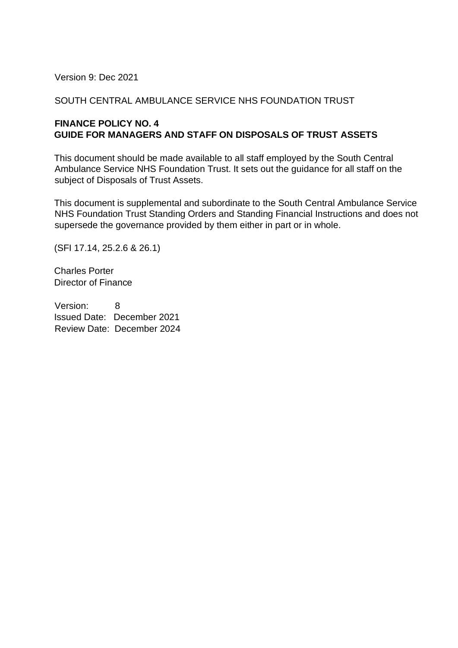Version 9: Dec 2021

#### SOUTH CENTRAL AMBULANCE SERVICE NHS FOUNDATION TRUST

#### **FINANCE POLICY NO. 4 GUIDE FOR MANAGERS AND STAFF ON DISPOSALS OF TRUST ASSETS**

This document should be made available to all staff employed by the South Central Ambulance Service NHS Foundation Trust. It sets out the guidance for all staff on the subject of Disposals of Trust Assets.

This document is supplemental and subordinate to the South Central Ambulance Service NHS Foundation Trust Standing Orders and Standing Financial Instructions and does not supersede the governance provided by them either in part or in whole.

(SFI 17.14, 25.2.6 & 26.1)

Charles Porter Director of Finance

Version: 8 Issued Date: December 2021 Review Date: December 2024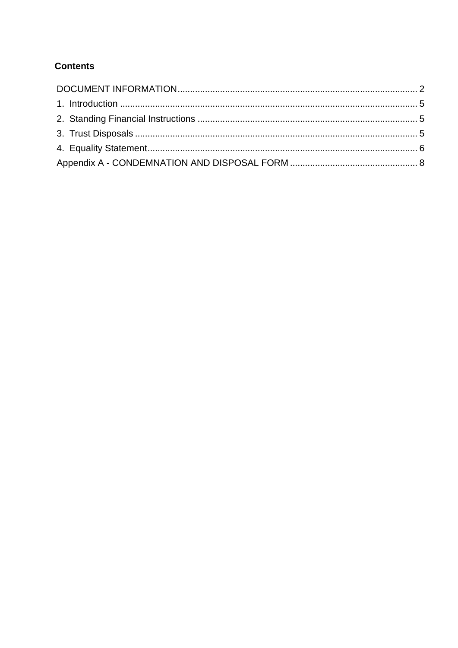## **Contents**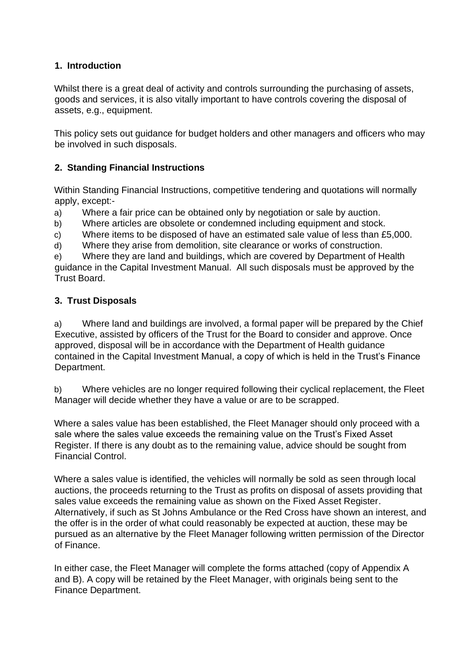#### <span id="page-4-0"></span>**1. Introduction**

Whilst there is a great deal of activity and controls surrounding the purchasing of assets, goods and services, it is also vitally important to have controls covering the disposal of assets, e.g., equipment.

This policy sets out guidance for budget holders and other managers and officers who may be involved in such disposals.

### <span id="page-4-1"></span>**2. Standing Financial Instructions**

Within Standing Financial Instructions, competitive tendering and quotations will normally apply, except:-

- a) Where a fair price can be obtained only by negotiation or sale by auction.
- b) Where articles are obsolete or condemned including equipment and stock.
- c) Where items to be disposed of have an estimated sale value of less than £5,000.
- d) Where they arise from demolition, site clearance or works of construction.

e) Where they are land and buildings, which are covered by Department of Health guidance in the Capital Investment Manual. All such disposals must be approved by the Trust Board.

### <span id="page-4-2"></span>**3. Trust Disposals**

a) Where land and buildings are involved, a formal paper will be prepared by the Chief Executive, assisted by officers of the Trust for the Board to consider and approve. Once approved, disposal will be in accordance with the Department of Health guidance contained in the Capital Investment Manual, a copy of which is held in the Trust's Finance Department.

b) Where vehicles are no longer required following their cyclical replacement, the Fleet Manager will decide whether they have a value or are to be scrapped.

Where a sales value has been established, the Fleet Manager should only proceed with a sale where the sales value exceeds the remaining value on the Trust's Fixed Asset Register. If there is any doubt as to the remaining value, advice should be sought from Financial Control.

Where a sales value is identified, the vehicles will normally be sold as seen through local auctions, the proceeds returning to the Trust as profits on disposal of assets providing that sales value exceeds the remaining value as shown on the Fixed Asset Register. Alternatively, if such as St Johns Ambulance or the Red Cross have shown an interest, and the offer is in the order of what could reasonably be expected at auction, these may be pursued as an alternative by the Fleet Manager following written permission of the Director of Finance.

In either case, the Fleet Manager will complete the forms attached (copy of Appendix A and B). A copy will be retained by the Fleet Manager, with originals being sent to the Finance Department.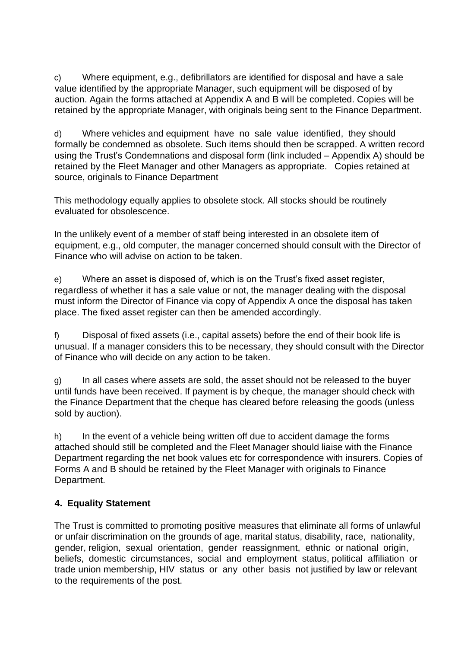c) Where equipment, e.g., defibrillators are identified for disposal and have a sale value identified by the appropriate Manager, such equipment will be disposed of by auction. Again the forms attached at Appendix A and B will be completed. Copies will be retained by the appropriate Manager, with originals being sent to the Finance Department.

d) Where vehicles and equipment have no sale value identified, they should formally be condemned as obsolete. Such items should then be scrapped. A written record using the Trust's Condemnations and disposal form (link included – Appendix A) should be retained by the Fleet Manager and other Managers as appropriate. Copies retained at source, originals to Finance Department

This methodology equally applies to obsolete stock. All stocks should be routinely evaluated for obsolescence.

In the unlikely event of a member of staff being interested in an obsolete item of equipment, e.g., old computer, the manager concerned should consult with the Director of Finance who will advise on action to be taken.

e) Where an asset is disposed of, which is on the Trust's fixed asset register, regardless of whether it has a sale value or not, the manager dealing with the disposal must inform the Director of Finance via copy of Appendix A once the disposal has taken place. The fixed asset register can then be amended accordingly.

f) Disposal of fixed assets (i.e., capital assets) before the end of their book life is unusual. If a manager considers this to be necessary, they should consult with the Director of Finance who will decide on any action to be taken.

g) In all cases where assets are sold, the asset should not be released to the buyer until funds have been received. If payment is by cheque, the manager should check with the Finance Department that the cheque has cleared before releasing the goods (unless sold by auction).

h) In the event of a vehicle being written off due to accident damage the forms attached should still be completed and the Fleet Manager should liaise with the Finance Department regarding the net book values etc for correspondence with insurers. Copies of Forms A and B should be retained by the Fleet Manager with originals to Finance Department.

#### <span id="page-5-0"></span>**4. Equality Statement**

The Trust is committed to promoting positive measures that eliminate all forms of unlawful or unfair discrimination on the grounds of age, marital status, disability, race, nationality, gender, religion, sexual orientation, gender reassignment, ethnic or national origin, beliefs, domestic circumstances, social and employment status, political affiliation or trade union membership, HIV status or any other basis not justified by law or relevant to the requirements of the post.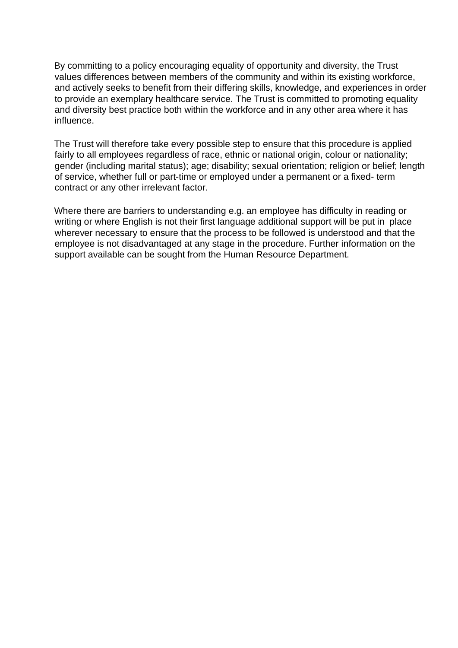By committing to a policy encouraging equality of opportunity and diversity, the Trust values differences between members of the community and within its existing workforce, and actively seeks to benefit from their differing skills, knowledge, and experiences in order to provide an exemplary healthcare service. The Trust is committed to promoting equality and diversity best practice both within the workforce and in any other area where it has influence.

The Trust will therefore take every possible step to ensure that this procedure is applied fairly to all employees regardless of race, ethnic or national origin, colour or nationality; gender (including marital status); age; disability; sexual orientation; religion or belief; length of service, whether full or part-time or employed under a permanent or a fixed- term contract or any other irrelevant factor.

Where there are barriers to understanding e.g. an employee has difficulty in reading or writing or where English is not their first language additional support will be put in place wherever necessary to ensure that the process to be followed is understood and that the employee is not disadvantaged at any stage in the procedure. Further information on the support available can be sought from the Human Resource Department.